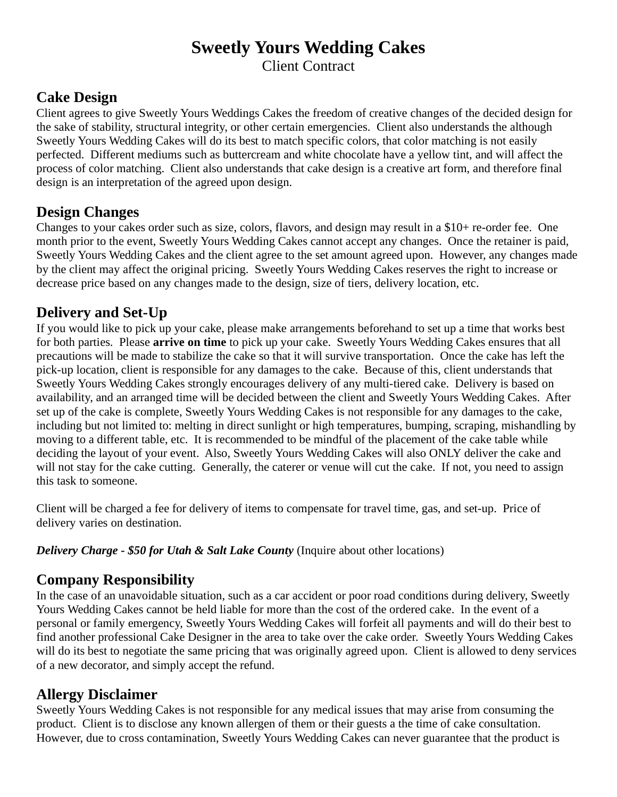# Sweetly Yours Wedding Cakes

Client Contract

# Cake Design

Client agrees to give Sweetly Yours Weddings Cakes the freedom of creative changes of the decided design for the sake of stability, structural integrity, or other certain emergencies. Client also understands the although Sweetly Yours Wedding Cakes will do its best to match specific colors, that color matching is not easily perfected. Different mediums such as buttercream and white chocolate have a yellow tint, and will affect the process of color matching. Client also understands that cake design is a creative art form, and therefore final design is an interpretation of the agreed upon design.

#### Design Changes

Changes to your cakes order such as size, colors, flavors, and design may result in a \$10+ re-order fee. One month prior to the event, Sweetly Yours Wedding Cakes cannot accept any changes. Once the retainer is paid, Sweetly Yours Wedding Cakes and the client agree to the set amount agreed upon. However, any changes made by the client may affect the original pricing. Sweetly Yours Wedding Cakes reserves the right to increase or decrease price based on any changes made to the design, size of tiers, delivery location, etc.

# Delivery and Set-Up

If you would like to pick up your cake, please make arrangements beforehand to set up a time that works best for both parties. Please **arrive on time** to pick up your cake. Sweetly Yours Wedding Cakes ensures that all precautions will be made to stabilize the cake so that it will survive transportation. Once the cake has left the pick-up location, client is responsible for any damages to the cake. Because of this, client understands that Sweetly Yours Wedding Cakes strongly encourages delivery of any multi-tiered cake. Delivery is based on availability, and an arranged time will be decided between the client and Sweetly Yours Wedding Cakes. After set up of the cake is complete, Sweetly Yours Wedding Cakes is not responsible for any damages to the cake, including but not limited to: melting in direct sunlight or high temperatures, bumping, scraping, mishandling by moving to a different table, etc. It is recommended to be mindful of the placement of the cake table while deciding the layout of your event. Also, Sweetly Yours Wedding Cakes will also ONLY deliver the cake and will not stay for the cake cutting. Generally, the caterer or venue will cut the cake. If not, you need to assign this task to someone.

Client will be charged a fee for delivery of items to compensate for travel time, gas, and set-up. Price of delivery varies on destination.

**Delivery Charge - \$50 for Utah & Salt Lake County (Inquire about other locations)** 

## Company Responsibility

In the case of an unavoidable situation, such as a car accident or poor road conditions during delivery, Sweetly Yours Wedding Cakes cannot be held liable for more than the cost of the ordered cake. In the event of a personal or family emergency, Sweetly Yours Wedding Cakes will forfeit all payments and will do their best to find another professional Cake Designer in the area to take over the cake order. Sweetly Yours Wedding Cakes will do its best to negotiate the same pricing that was originally agreed upon. Client is allowed to deny services of a new decorator, and simply accept the refund.

## Allergy Disclaimer

Sweetly Yours Wedding Cakes is not responsible for any medical issues that may arise from consuming the product. Client is to disclose any known allergen of them or their guests a the time of cake consultation. However, due to cross contamination, Sweetly Yours Wedding Cakes can never guarantee that the product is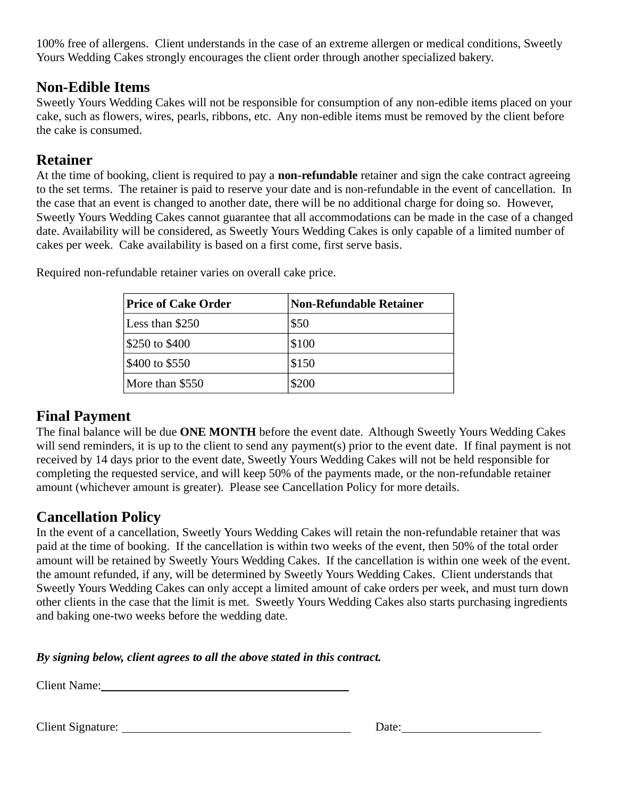100% free of allergens. Client understands in the case of an extreme allergen or medical conditions, Sweetly Yours Wedding Cakes strongly encourages the client order through another specialized bakery.

#### Non-Edible Items

Sweetly Yours Wedding Cakes will not be responsible for consumption of any non-edible items placed on your cake, such as flowers, wires, pearls, ribbons, etc. Any non-edible items must be removed by the client before the cake is consumed.

#### Retainer

At the time of booking, client is required to pay a **non-refundable** retainer and sign the cake contract agreeing to the set terms. The retainer is paid to reserve your date and is non-refundable in the event of cancellation. In the case that an event is changed to another date, there will be no additional charge for doing so. However, Sweetly Yours Wedding Cakes cannot guarantee that all accommodations can be made in the case of a changed date. Availability will be considered, as Sweetly Yours Wedding Cakes is only capable of a limited number of cakes per week. Cake availability is based on a first come, first serve basis.

| <b>Price of Cake Order</b> | Non-Refundable Retainer |
|----------------------------|-------------------------|
| Less than \$250            | \$50                    |
| \$250 to \$400             | \$100                   |
| \$400 to \$550             | \$150                   |
| More than \$550            | \$200                   |

Required non-refundable retainer varies on overall cake price.

## Final Payment

The final balance will be due ONE MONTH before the event date. Although Sweetly Yours Wedding Cakes will send reminders, it is up to the client to send any payment(s) prior to the event date. If final payment is not received by 14 days prior to the event date, Sweetly Yours Wedding Cakes will not be held responsible for completing the requested service, and will keep 50% of the payments made, or the non-refundable retainer amount (whichever amount is greater). Please see Cancellation Policy for more details.

## Cancellation Policy

In the event of a cancellation, Sweetly Yours Wedding Cakes will retain the non-refundable retainer that was paid at the time of booking. If the cancellation is within two weeks of the event, then 50% of the total order amount will be retained by Sweetly Yours Wedding Cakes. If the cancellation is within one week of the event. the amount refunded, if any, will be determined by Sweetly Yours Wedding Cakes. Client understands that Sweetly Yours Wedding Cakes can only accept a limited amount of cake orders per week, and must turn down other clients in the case that the limit is met. Sweetly Yours Wedding Cakes also starts purchasing ingredients and baking one-two weeks before the wedding date.

By signing below, client agrees to all the above stated in this contract.

Client Name:

Client Signature: Date: